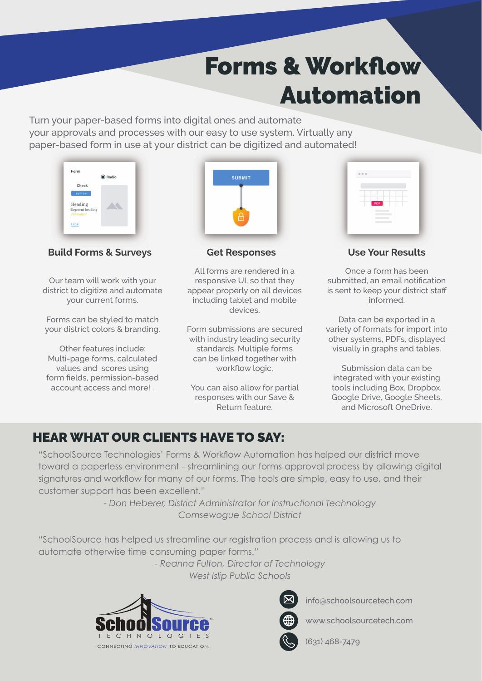## **Forms & Workflow** Automation

Turn your paper-based forms into digital ones and automate your approvals and processes with our easy to use system. Virtually any paper-based form in use at your district can be digitized and automated!

| Check                        |  |
|------------------------------|--|
|                              |  |
| <b>BUTTON</b>                |  |
| Heading                      |  |
| Segment-heading<br>Formatted |  |

**Build Forms & Surveys**

Our team will work with your district to digitize and automate your current forms.

Forms can be styled to match your district colors & branding.

Other features include: Multi-page forms, calculated values and scores using form fields, permission-based account access and more! .



**Get Responses**

All forms are rendered in a responsive UI, so that they appear properly on all devices including tablet and mobile devices.

Form submissions are secured with industry leading security standards. Multiple forms can be linked together with workflow logic,

You can also allow for partial responses with our Save & Return feature.

| 0.0.0                      |  |
|----------------------------|--|
| ×                          |  |
| $\sim$<br>۰<br>$\sim$<br>۰ |  |
| PDF                        |  |
|                            |  |
|                            |  |

**Use Your Results**

Once a form has been submitted, an email notification is sent to keep your district staff informed.

Data can be exported in a variety of formats for import into other systems, PDFs, displayed visually in graphs and tables.

Submission data can be integrated with your existing tools including Box, Dropbox, Google Drive, Google Sheets, and Microsoft OneDrive.

## HEAR WHAT OUR CLIENTS HAVE TO SAY:

"SchoolSource Technologies' Forms & Workflow Automation has helped our district move toward a paperless environment - streamlining our forms approval process by allowing digital signatures and workflow for many of our forms. The tools are simple, easy to use, and their customer support has been excellent."

> *- Don Heberer, District Administrator for Instructional Technology Comsewogue School District*

"SchoolSource has helped us streamline our registration process and is allowing us to automate otherwise time consuming paper forms."

> - *Reanna Fulton, Director of Technology West Islip Public Schools*





info@schoolsourcetech.com

www.schoolsourcetech.com



(631) 468-7479